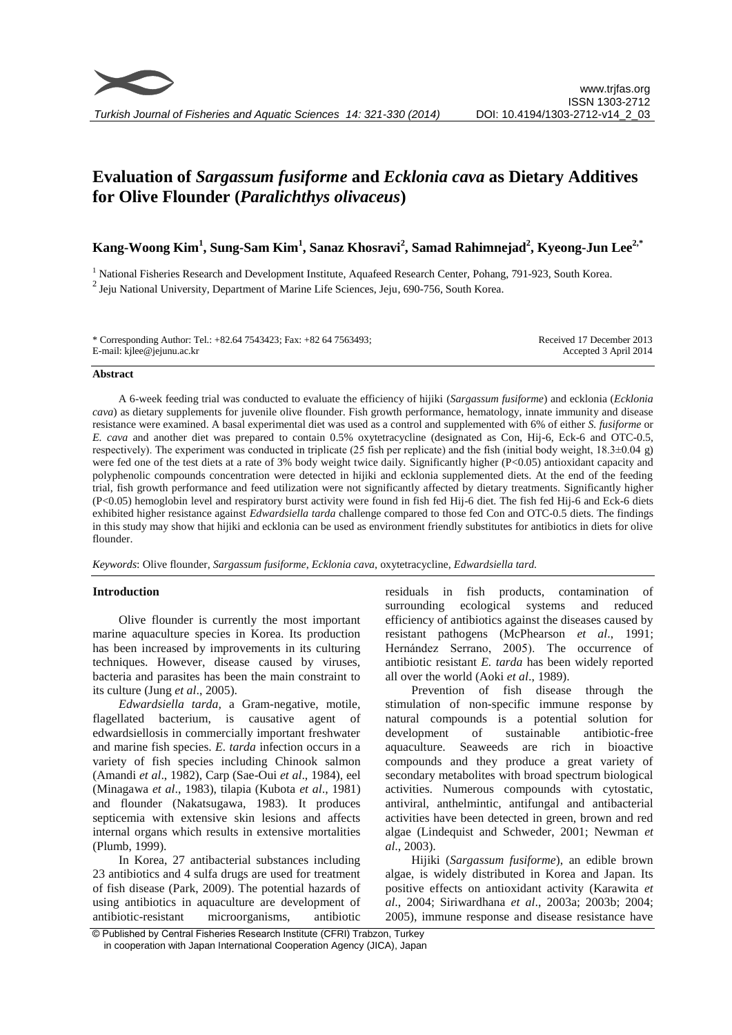

# **Evaluation of** *Sargassum fusiforme* **and** *Ecklonia cava* **as Dietary Additives for Olive Flounder (***Paralichthys olivaceus***)**

# **Kang-Woong Kim<sup>1</sup> , Sung-Sam Kim<sup>1</sup> , Sanaz Khosravi<sup>2</sup> , Samad Rahimnejad<sup>2</sup> , Kyeong-Jun Lee2,\***

<sup>1</sup> National Fisheries Research and Development Institute, Aquafeed Research Center, Pohang, 791-923, South Korea.  $2$  Jeju National University, Department of Marine Life Sciences, Jeju, 690-756, South Korea.

| * Corresponding Author: Tel.: +82.64 7543423; Fax: +82 64 7563493; | Received 17 December 2013 |
|--------------------------------------------------------------------|---------------------------|
| E-mail: kjlee@jejunu.ac.kr                                         | Accepted 3 April 2014     |

#### **Abstract**

A 6-week feeding trial was conducted to evaluate the efficiency of hijiki (*Sargassum fusiforme*) and ecklonia (*Ecklonia cava*) as dietary supplements for juvenile olive flounder. Fish growth performance, hematology, innate immunity and disease resistance were examined. A basal experimental diet was used as a control and supplemented with 6% of either *S. fusiforme* or *E. cava* and another diet was prepared to contain 0.5% oxytetracycline (designated as Con, Hij-6, Eck-6 and OTC-0.5, respectively). The experiment was conducted in triplicate (25 fish per replicate) and the fish (initial body weight, 18.3±0.04 g) were fed one of the test diets at a rate of 3% body weight twice daily. Significantly higher (P<0.05) antioxidant capacity and polyphenolic compounds concentration were detected in hijiki and ecklonia supplemented diets. At the end of the feeding trial, fish growth performance and feed utilization were not significantly affected by dietary treatments. Significantly higher (P<0.05) hemoglobin level and respiratory burst activity were found in fish fed Hij-6 diet. The fish fed Hij-6 and Eck-6 diets exhibited higher resistance against *Edwardsiella tarda* challenge compared to those fed Con and OTC-0.5 diets. The findings in this study may show that hijiki and ecklonia can be used as environment friendly substitutes for antibiotics in diets for olive flounder.

*Keywords*: Olive flounder, *Sargassum fusiforme*, *Ecklonia cava*, oxytetracycline, *Edwardsiella tard.*

# **Introduction**

Olive flounder is currently the most important marine aquaculture species in Korea. Its production has been increased by improvements in its culturing techniques. However, disease caused by viruses, bacteria and parasites has been the main constraint to its culture (Jung *et al*., 2005).

*Edwardsiella tarda,* a Gram-negative, motile, flagellated bacterium, is causative agent of edwardsiellosis in commercially important freshwater and marine fish species. *E. tarda* infection occurs in a variety of fish species including Chinook salmon (Amandi *et al*., 1982), Carp (Sae-Oui *et al*., 1984), eel (Minagawa *et al*., 1983), tilapia (Kubota *et al*., 1981) and flounder (Nakatsugawa, 1983). It produces septicemia with extensive skin lesions and affects internal organs which results in extensive mortalities (Plumb, 1999).

In Korea, 27 antibacterial substances including 23 antibiotics and 4 sulfa drugs are used for treatment of fish disease (Park, 2009). The potential hazards of using antibiotics in aquaculture are development of antibiotic-resistant microorganisms, antibiotic residuals in fish products, contamination of surrounding ecological systems and reduced efficiency of antibiotics against the diseases caused by resistant pathogens (McPhearson *et al*., 1991; Hernández Serrano, 2005). The occurrence of antibiotic resistant *E. tarda* has been widely reported all over the world (Aoki *et al*., 1989).

Prevention of fish disease through the stimulation of non-specific immune response by natural compounds is a potential solution for development of sustainable antibiotic-free aquaculture. Seaweeds are rich in bioactive compounds and they produce a great variety of secondary metabolites with broad spectrum biological activities. Numerous compounds with cytostatic, antiviral, anthelmintic, antifungal and antibacterial activities have been detected in green, brown and red algae (Lindequist and Schweder, 2001; Newman *et al*., 2003).

Hijiki (*Sargassum fusiforme*), an edible brown algae, is widely distributed in Korea and Japan. Its positive effects on antioxidant activity (Karawita *et al*., 2004; Siriwardhana *et al*., 2003a; 2003b; 2004; 2005), immune response and disease resistance have

<sup>©</sup> Published by Central Fisheries Research Institute (CFRI) Trabzon, Turkey in cooperation with Japan International Cooperation Agency (JICA), Japan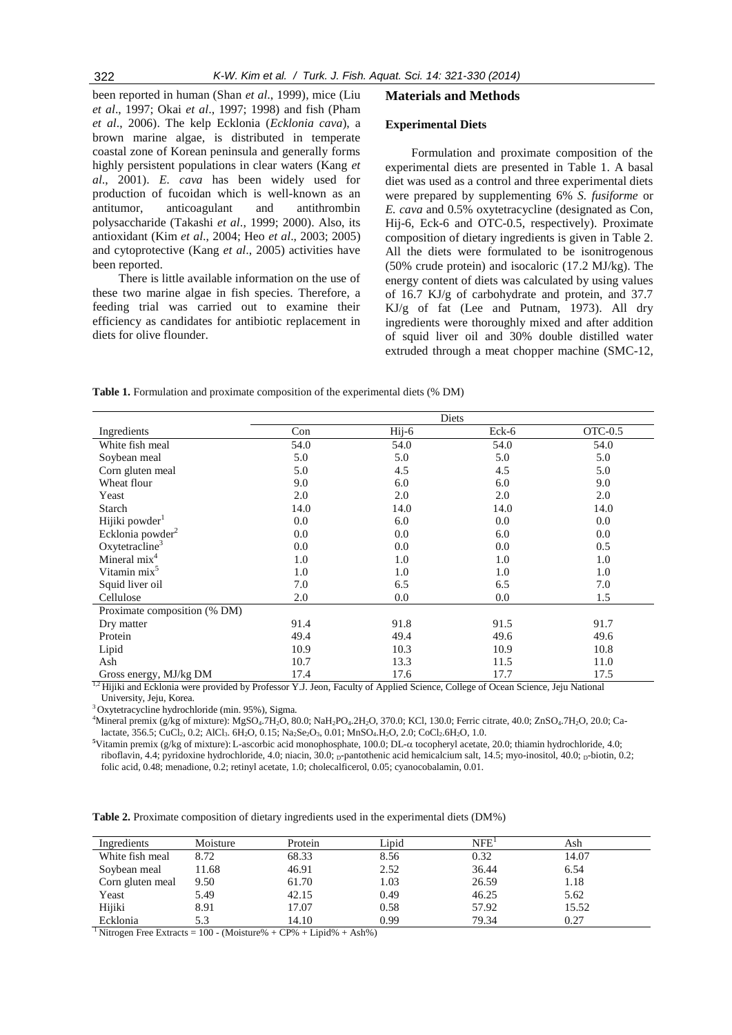been reported in human (Shan *et al*., 1999), mice (Liu *et al*., 1997; Okai *et al*., 1997; 1998) and fish (Pham *et al*., 2006). The kelp Ecklonia (*Ecklonia cava*), a brown marine algae, is distributed in temperate coastal zone of Korean peninsula and generally forms highly persistent populations in clear waters (Kang *et al*., 2001). *E. cava* has been widely used for production of fucoidan which is well-known as an antitumor, anticoagulant and antithrombin polysaccharide (Takashi *et al*., 1999; 2000). Also, its antioxidant (Kim *et al*., 2004; Heo *et al*., 2003; 2005) and cytoprotective (Kang *et al*., 2005) activities have been reported.

There is little available information on the use of these two marine algae in fish species. Therefore, a feeding trial was carried out to examine their efficiency as candidates for antibiotic replacement in diets for olive flounder.

# **Materials and Methods**

#### **Experimental Diets**

Formulation and proximate composition of the experimental diets are presented in Table 1. A basal diet was used as a control and three experimental diets were prepared by supplementing 6% *S. fusiforme* or *E. cava* and 0.5% oxytetracycline (designated as Con, Hij-6, Eck-6 and OTC-0.5, respectively). Proximate composition of dietary ingredients is given in Table 2. All the diets were formulated to be isonitrogenous (50% crude protein) and isocaloric (17.2 MJ/kg). The energy content of diets was calculated by using values of 16.7 KJ/g of carbohydrate and protein, and 37.7 KJ/g of fat (Lee and Putnam, 1973). All dry ingredients were thoroughly mixed and after addition of squid liver oil and 30% double distilled water extruded through a meat chopper machine (SMC-12,

**Table 1.** Formulation and proximate composition of the experimental diets (% DM)

|                              |      | Diets            |       |         |
|------------------------------|------|------------------|-------|---------|
| Ingredients                  | Con  | $Hii-6$          | Eck-6 | OTC-0.5 |
| White fish meal              | 54.0 | 54.0             | 54.0  | 54.0    |
| Soybean meal                 | 5.0  | 5.0              | 5.0   | 5.0     |
| Corn gluten meal             | 5.0  | 4.5              | 4.5   | 5.0     |
| Wheat flour                  | 9.0  | 6.0              | 6.0   | 9.0     |
| Yeast                        | 2.0  | 2.0              | 2.0   | 2.0     |
| Starch                       | 14.0 | 14.0             | 14.0  | 14.0    |
| Hijiki powder <sup>1</sup>   | 0.0  | 6.0              | 0.0   | 0.0     |
| Ecklonia powder <sup>2</sup> | 0.0  | 0.0 <sub>1</sub> | 6.0   | 0.0     |
| Oxytetracline <sup>3</sup>   | 0.0  | $0.0\,$          | 0.0   | 0.5     |
| Mineral mix <sup>4</sup>     | 1.0  | 1.0              | 1.0   | 1.0     |
| Vitamin mix <sup>3</sup>     | 1.0  | 1.0              | 1.0   | 1.0     |
| Squid liver oil              | 7.0  | 6.5              | 6.5   | 7.0     |
| Cellulose                    | 2.0  | $0.0\,$          | 0.0   | 1.5     |
| Proximate composition (% DM) |      |                  |       |         |
| Dry matter                   | 91.4 | 91.8             | 91.5  | 91.7    |
| Protein                      | 49.4 | 49.4             | 49.6  | 49.6    |
| Lipid                        | 10.9 | 10.3             | 10.9  | 10.8    |
| Ash                          | 10.7 | 13.3             | 11.5  | 11.0    |
| Gross energy, MJ/kg DM       | 17.4 | 17.6             | 17.7  | 17.5    |

<sup>1,2</sup> Hijiki and Ecklonia were provided by Professor Y.J. Jeon, Faculty of Applied Science, College of Ocean Science, Jeju National University, Jeju, Korea.

<sup>3</sup> Oxytetracycline hydrochloride (min. 95%), Sigma.

<sup>4</sup>Mineral premix (g/kg of mixture): MgSO<sub>4</sub>.7H<sub>2</sub>O, 80.0; NaH<sub>2</sub>PO<sub>4</sub>.2H<sub>2</sub>O, 370.0; KCl, 130.0; Ferric citrate, 40.0; ZnSO<sub>4</sub>.7H<sub>2</sub>O, 20.0; Calactate, 356.5; CuCl<sub>2</sub>, 0.2; AlCl<sub>3</sub>. 6H<sub>2</sub>O, 0.15; Na<sub>2</sub>Se<sub>2</sub>O<sub>3</sub>, 0.01; MnSO<sub>4</sub>.H<sub>2</sub>O, 2.0; CoCl<sub>2</sub>.6H<sub>2</sub>O, 1.0.

<sup>5</sup>Vitamin premix (g/kg of mixture): L-ascorbic acid monophosphate, 100.0; DL-α tocopheryl acetate, 20.0; thiamin hydrochloride, 4.0; riboflavin, 4.4; pyridoxine hydrochloride, 4.0; niacin, 30.0;  $_{\rm D}$ -pantothenic acid hemicalcium salt, 14.5; myo-inositol, 40.0;  $_{\rm D}$ -biotin, 0.2; folic acid, 0.48; menadione, 0.2; retinyl acetate, 1.0; cholecalficerol, 0.05; cyanocobalamin, 0.01.

**Table 2.** Proximate composition of dietary ingredients used in the experimental diets (DM%)

| Ingredients      | Moisture | Protein | Lipid | NFE <sup>1</sup> | Ash   |  |
|------------------|----------|---------|-------|------------------|-------|--|
| White fish meal  | 8.72     | 68.33   | 8.56  | 0.32             | 14.07 |  |
| Soybean meal     | 11.68    | 46.91   | 2.52  | 36.44            | 6.54  |  |
| Corn gluten meal | 9.50     | 61.70   | 1.03  | 26.59            | 1.18  |  |
| Yeast            | 5.49     | 42.15   | 0.49  | 46.25            | 5.62  |  |
| Hijiki           | 8.91     | 17.07   | 0.58  | 57.92            | 15.52 |  |
| Ecklonia         | 5.3      | 14.10   | 0.99  | 79.34            | 0.27  |  |

<sup>1</sup> Nitrogen Free Extracts =  $100 - (Moisture% + CP% + Lipid% + Ash% )$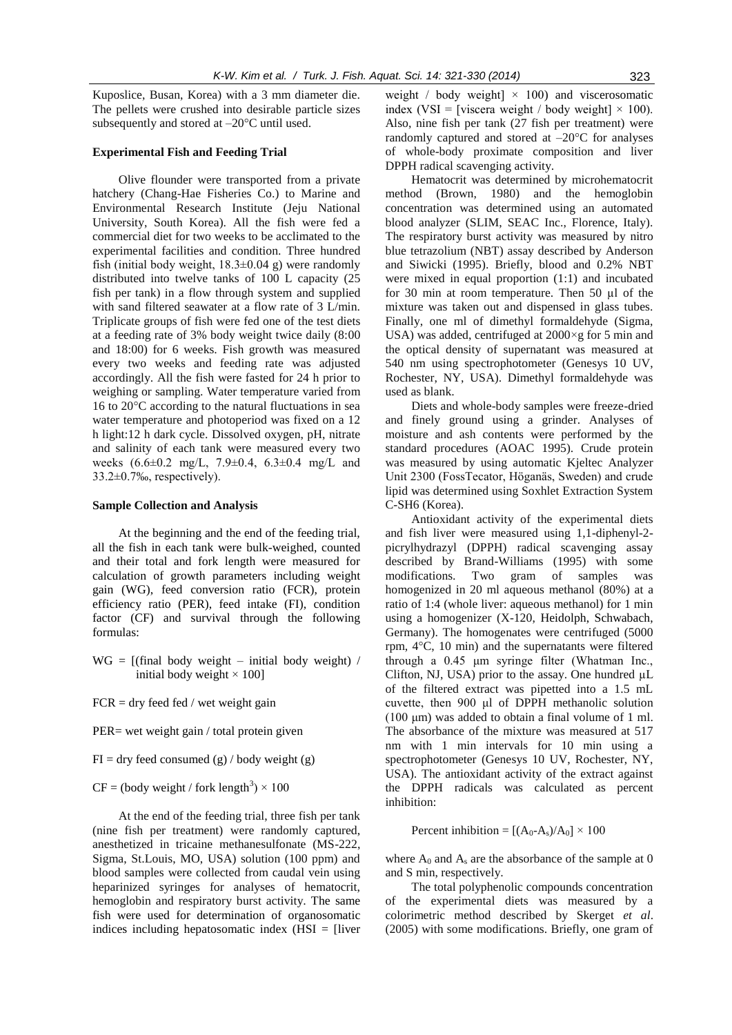Kuposlice, Busan, Korea) with a 3 mm diameter die. The pellets were crushed into desirable particle sizes subsequently and stored at –20°C until used.

# **Experimental Fish and Feeding Trial**

Olive flounder were transported from a private hatchery (Chang-Hae Fisheries Co.) to Marine and Environmental Research Institute (Jeju National University, South Korea). All the fish were fed a commercial diet for two weeks to be acclimated to the experimental facilities and condition. Three hundred fish (initial body weight,  $18.3 \pm 0.04$  g) were randomly distributed into twelve tanks of 100 L capacity (25 fish per tank) in a flow through system and supplied with sand filtered seawater at a flow rate of 3 L/min. Triplicate groups of fish were fed one of the test diets at a feeding rate of 3% body weight twice daily (8:00 and 18:00) for 6 weeks. Fish growth was measured every two weeks and feeding rate was adjusted accordingly. All the fish were fasted for 24 h prior to weighing or sampling. Water temperature varied from 16 to 20°C according to the natural fluctuations in sea water temperature and photoperiod was fixed on a 12 h light:12 h dark cycle. Dissolved oxygen, pH, nitrate and salinity of each tank were measured every two weeks (6.6±0.2 mg/L, 7.9±0.4, 6.3±0.4 mg/L and 33.2±0.7‰, respectively).

#### **Sample Collection and Analysis**

At the beginning and the end of the feeding trial, all the fish in each tank were bulk-weighed, counted and their total and fork length were measured for calculation of growth parameters including weight gain (WG), feed conversion ratio (FCR), protein efficiency ratio (PER), feed intake (FI), condition factor (CF) and survival through the following formulas:

 $WG = [(final body weight - initial body weight) /$ initial body weight  $\times$  100]

 $FCR = dry$  feed fed / wet weight gain

PER= wet weight gain / total protein given

 $FI = dry$  feed consumed (g) / body weight (g)

 $CF = (body weight / fork length<sup>3</sup>) \times 100$ 

At the end of the feeding trial, three fish per tank (nine fish per treatment) were randomly captured, anesthetized in tricaine methanesulfonate (MS-222, Sigma, St.Louis, MO, USA) solution (100 ppm) and blood samples were collected from caudal vein using heparinized syringes for analyses of hematocrit, hemoglobin and respiratory burst activity. The same fish were used for determination of organosomatic indices including hepatosomatic index (HSI = [liver weight / body weight]  $\times$  100) and viscerosomatic index (VSI = [viscera weight / body weight]  $\times$  100). Also, nine fish per tank (27 fish per treatment) were randomly captured and stored at  $-20^{\circ}$ C for analyses of whole-body proximate composition and liver DPPH radical scavenging activity.

Hematocrit was determined by microhematocrit method (Brown, 1980) and the hemoglobin concentration was determined using an automated blood analyzer (SLIM, SEAC Inc., Florence, Italy). The respiratory burst activity was measured by nitro blue tetrazolium (NBT) assay described by Anderson and Siwicki (1995). Briefly, blood and 0.2% NBT were mixed in equal proportion (1:1) and incubated for 30 min at room temperature. Then 50 µl of the mixture was taken out and dispensed in glass tubes. Finally, one ml of dimethyl formaldehyde (Sigma, USA) was added, centrifuged at 2000×g for 5 min and the optical density of supernatant was measured at 540 nm using spectrophotometer (Genesys 10 UV, Rochester, NY, USA). Dimethyl formaldehyde was used as blank.

Diets and whole-body samples were freeze-dried and finely ground using a grinder. Analyses of moisture and ash contents were performed by the standard procedures (AOAC 1995). Crude protein was measured by using automatic Kjeltec Analyzer Unit 2300 (FossTecator, Höganäs, Sweden) and crude lipid was determined using Soxhlet Extraction System C-SH6 (Korea).

Antioxidant activity of the experimental diets and fish liver were measured using 1,1-diphenyl-2 picrylhydrazyl (DPPH) radical scavenging assay described by Brand-Williams (1995) with some modifications. Two gram of samples was homogenized in 20 ml aqueous methanol (80%) at a ratio of 1:4 (whole liver: aqueous methanol) for 1 min using a homogenizer (X-120, Heidolph, Schwabach, Germany). The homogenates were centrifuged (5000 rpm, 4°C, 10 min) and the supernatants were filtered through a 0.45 μm syringe filter (Whatman Inc., Clifton, NJ, USA) prior to the assay. One hundred  $\mu$ L of the filtered extract was pipetted into a 1.5 mL cuvette, then 900 μl of DPPH methanolic solution (100 μm) was added to obtain a final volume of 1 ml. The absorbance of the mixture was measured at 517 nm with 1 min intervals for 10 min using a spectrophotometer (Genesys 10 UV, Rochester, NY, USA). The antioxidant activity of the extract against the DPPH radicals was calculated as percent inhibition:

Percent inhibition =  $[(A_0-A_s)/A_0] \times 100$ 

where  $A_0$  and  $A_s$  are the absorbance of the sample at 0 and S min, respectively.

The total polyphenolic compounds concentration of the experimental diets was measured by a colorimetric method described by Skerget *et al*. (2005) with some modifications. Briefly, one gram of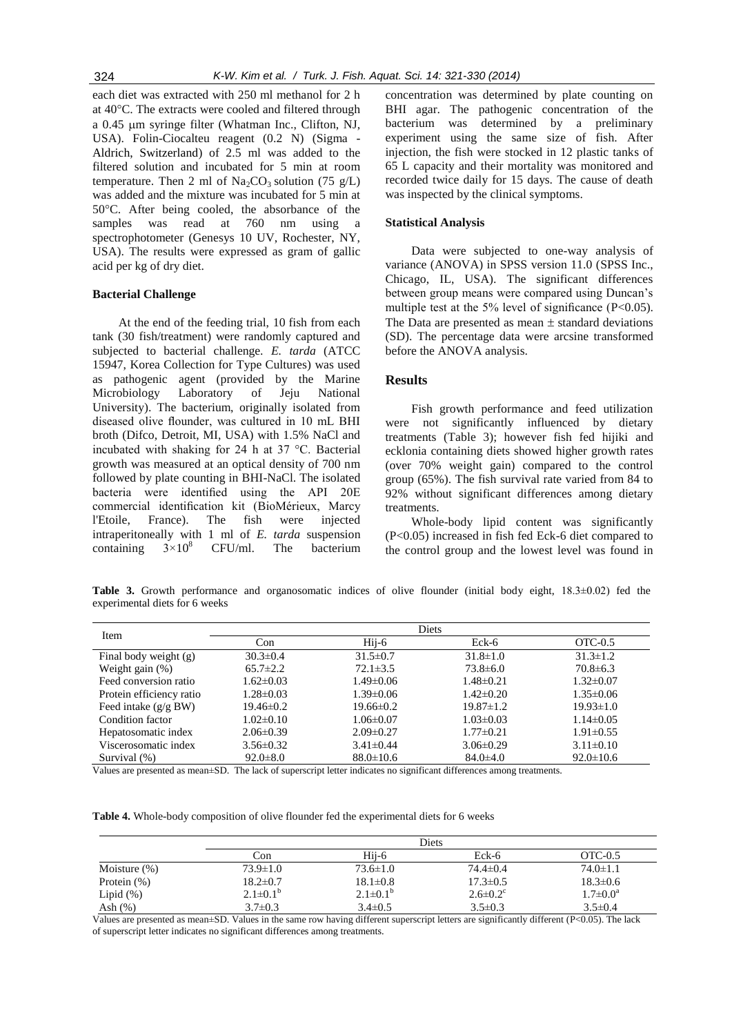each diet was extracted with 250 ml methanol for 2 h at 40°C. The extracts were cooled and filtered through a 0.45 µm syringe filter (Whatman Inc., Clifton, NJ, USA). Folin-Ciocalteu reagent (0.2 N) (Sigma - Aldrich, Switzerland) of 2.5 ml was added to the filtered solution and incubated for 5 min at room temperature. Then 2 ml of  $\text{Na}_2\text{CO}_3$  solution (75 g/L) was added and the mixture was incubated for 5 min at 50°C. After being cooled, the absorbance of the samples was read at 760 nm using spectrophotometer (Genesys 10 UV, Rochester, NY, USA). The results were expressed as gram of gallic acid per kg of dry diet.

#### **Bacterial Challenge**

At the end of the feeding trial, 10 fish from each tank (30 fish/treatment) were randomly captured and subjected to bacterial challenge. *E. tarda* (ATCC 15947, Korea Collection for Type Cultures) was used as pathogenic agent (provided by the Marine Microbiology Laboratory of Jeju National University). The bacterium, originally isolated from diseased olive flounder, was cultured in 10 mL BHI broth (Difco, Detroit, MI, USA) with 1.5% NaCl and incubated with shaking for 24 h at 37 °C. Bacterial growth was measured at an optical density of 700 nm followed by plate counting in BHI-NaCl. The isolated bacteria were identified using the API 20E commercial identification kit (BioMérieux, Marcy l'Etoile, France). The fish were injected intraperitoneally with 1 ml of *E. tarda* suspension containing  $3\times10^8$  CFU/ml. The bacterium concentration was determined by plate counting on BHI agar. The pathogenic concentration of the bacterium was determined by a preliminary experiment using the same size of fish. After injection, the fish were stocked in 12 plastic tanks of 65 L capacity and their mortality was monitored and recorded twice daily for 15 days. The cause of death was inspected by the clinical symptoms.

#### **Statistical Analysis**

Data were subjected to one-way analysis of variance (ANOVA) in SPSS version 11.0 (SPSS Inc., Chicago, IL, USA). The significant differences between group means were compared using Duncan's multiple test at the  $5\%$  level of significance (P<0.05). The Data are presented as mean  $\pm$  standard deviations (SD). The percentage data were arcsine transformed before the ANOVA analysis.

# **Results**

Fish growth performance and feed utilization were not significantly influenced by dietary treatments (Table 3); however fish fed hijiki and ecklonia containing diets showed higher growth rates (over 70% weight gain) compared to the control group (65%). The fish survival rate varied from 84 to 92% without significant differences among dietary treatments.

Whole-body lipid content was significantly (P<0.05) increased in fish fed Eck-6 diet compared to the control group and the lowest level was found in

**Table 3.** Growth performance and organosomatic indices of olive flounder (initial body eight, 18.3±0.02) fed the experimental diets for 6 weeks

| Item                     |                 |                 | Diets           |                 |
|--------------------------|-----------------|-----------------|-----------------|-----------------|
|                          | Con             | $Hii - 6$       | Eck-6           | OTC-0.5         |
| Final body weight (g)    | $30.3 \pm 0.4$  | $31.5 \pm 0.7$  | $31.8 \pm 1.0$  | $31.3 \pm 1.2$  |
| Weight gain $(\%)$       | $65.7 \pm 2.2$  | $72.1 \pm 3.5$  | $73.8 \pm 6.0$  | $70.8 \pm 6.3$  |
| Feed conversion ratio    | $1.62 \pm 0.03$ | $1.49 \pm 0.06$ | $1.48 \pm 0.21$ | $1.32 \pm 0.07$ |
| Protein efficiency ratio | $1.28 \pm 0.03$ | $1.39 \pm 0.06$ | $1.42 \pm 0.20$ | $1.35 \pm 0.06$ |
| Feed intake $(g/g B W)$  | $19.46 \pm 0.2$ | $19.66 \pm 0.2$ | $19.87 \pm 1.2$ | $19.93 \pm 1.0$ |
| Condition factor         | $1.02 \pm 0.10$ | $1.06 \pm 0.07$ | $1.03 \pm 0.03$ | $1.14 \pm 0.05$ |
| Hepatosomatic index      | $2.06 \pm 0.39$ | $2.09 \pm 0.27$ | $1.77 \pm 0.21$ | $1.91 \pm 0.55$ |
| Viscerosomatic index     | $3.56 \pm 0.32$ | $3.41 \pm 0.44$ | $3.06\pm0.29$   | $3.11 \pm 0.10$ |
| Survival (%)             | $92.0 \pm 8.0$  | $88.0 \pm 10.6$ | $84.0 \pm 4.0$  | $92.0 \pm 10.6$ |

Values are presented as mean±SD. The lack of superscript letter indicates no significant differences among treatments.

**Table 4.** Whole-body composition of olive flounder fed the experimental diets for 6 weeks

|                 | Diets           |                       |                            |                 |
|-----------------|-----------------|-----------------------|----------------------------|-----------------|
|                 | Con             | Hii-6                 | Eck-6                      | $OTC-0.5$       |
| Moisture $(\%)$ | $73.9 \pm 1.0$  | $73.6 \pm 1.0$        | $74.4 \pm 0.4$             | $74.0 \pm 1.1$  |
| Protein $(\%)$  | $18.2 \pm 0.7$  | $18.1 \pm 0.8$        | $17.3 \pm 0.5$             | $18.3 \pm 0.6$  |
| Lipid $(\%)$    | $2.1 \pm 0.1^b$ | $2.1 \pm 0.1^{\rm b}$ | $2.6 \pm 0.2$ <sup>c</sup> | $1.7 \pm 0.0^a$ |
| Ash $(\%)$      | $3.7 \pm 0.3$   | $3.4\pm 0.5$          | $3.5 \pm 0.3$              | $3.5 \pm 0.4$   |

Values are presented as mean $\pm$ SD. Values in the same row having different superscript letters are significantly different (P<0.05). The lack of superscript letter indicates no significant differences among treatments.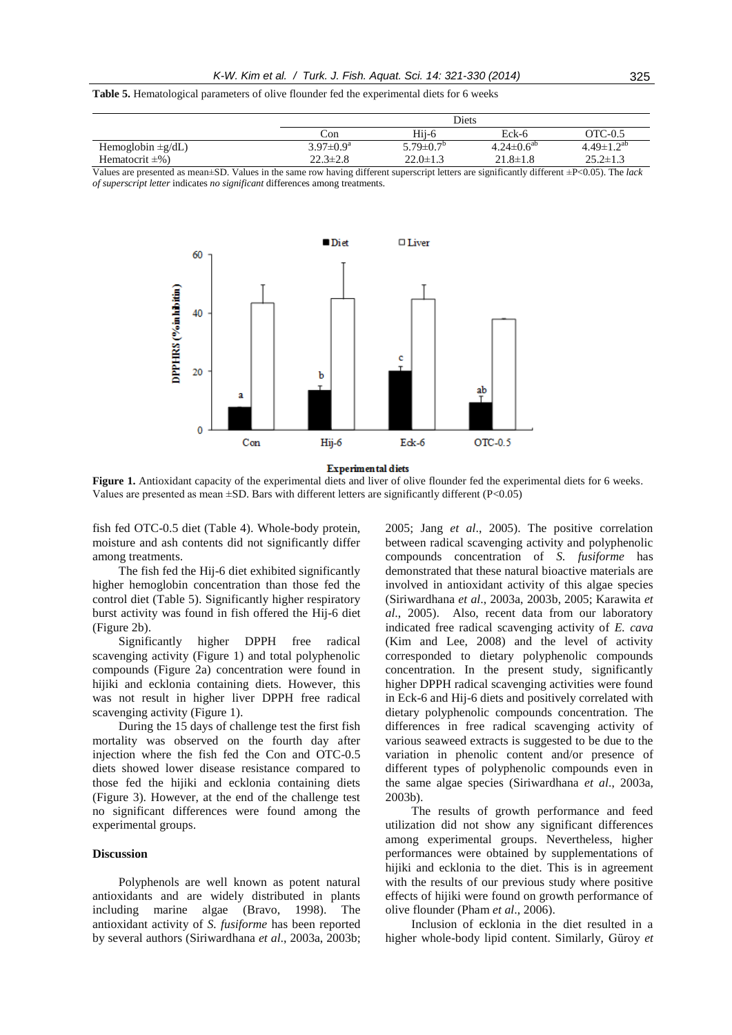**Table 5.** Hematological parameters of olive flounder fed the experimental diets for 6 weeks

|                        |                             | Diets                       |                     |                     |  |
|------------------------|-----------------------------|-----------------------------|---------------------|---------------------|--|
|                        | ∴on                         | Hii-6                       | Eck-6               | OTC-0.5             |  |
| Hemoglobin $\pm$ g/dL) | $3.97 \pm 0.9^{\mathrm{a}}$ | $5.79 \pm 0.7$ <sup>0</sup> | $4.24 \pm 0.6^{ab}$ | $4.49 \pm 1.2^{ab}$ |  |
| Hematocrit $\pm\%$ )   | $22.3 \pm 2.8$              | $22.0 \pm 1.3$              | $21.8 \pm 1.8$      | $25.2 \pm 1.3$      |  |

Values are presented as mean±SD. Values in the same row having different superscript letters are significantly different ±P<0.05). The *lack of superscript letter* indicates *no significant* differences among treatments.



**Experimental diets** 

Figure 1. Antioxidant capacity of the experimental diets and liver of olive flounder fed the experimental diets for 6 weeks. Values are presented as mean  $\pm$ SD. Bars with different letters are significantly different (P<0.05)

fish fed OTC-0.5 diet (Table 4). Whole-body protein, moisture and ash contents did not significantly differ among treatments.

The fish fed the Hij-6 diet exhibited significantly higher hemoglobin concentration than those fed the control diet (Table 5). Significantly higher respiratory burst activity was found in fish offered the Hij-6 diet (Figure 2b).

Significantly higher DPPH free radical scavenging activity (Figure 1) and total polyphenolic compounds (Figure 2a) concentration were found in hijiki and ecklonia containing diets. However, this was not result in higher liver DPPH free radical scavenging activity (Figure 1).

During the 15 days of challenge test the first fish mortality was observed on the fourth day after injection where the fish fed the Con and OTC-0.5 diets showed lower disease resistance compared to those fed the hijiki and ecklonia containing diets (Figure 3). However, at the end of the challenge test no significant differences were found among the experimental groups.

#### **Discussion**

Polyphenols are well known as potent natural antioxidants and are widely distributed in plants including marine algae (Bravo, 1998). The antioxidant activity of *S. fusiforme* has been reported by several authors (Siriwardhana *et al*., 2003a, 2003b;

2005; Jang *et al*., 2005). The positive correlation between radical scavenging activity and polyphenolic compounds concentration of *S. fusiforme* has demonstrated that these natural bioactive materials are involved in antioxidant activity of this algae species (Siriwardhana *et al*., 2003a, 2003b, 2005; Karawita *et al*., 2005). Also, recent data from our laboratory indicated free radical scavenging activity of *E. cava*  (Kim and Lee, 2008) and the level of activity corresponded to dietary polyphenolic compounds concentration. In the present study, significantly higher DPPH radical scavenging activities were found in Eck-6 and Hij-6 diets and positively correlated with dietary polyphenolic compounds concentration. The differences in free radical scavenging activity of various seaweed extracts is suggested to be due to the variation in phenolic content and/or presence of different types of polyphenolic compounds even in the same algae species (Siriwardhana *et al*., 2003a, 2003b).

The results of growth performance and feed utilization did not show any significant differences among experimental groups. Nevertheless, higher performances were obtained by supplementations of hijiki and ecklonia to the diet. This is in agreement with the results of our previous study where positive effects of hijiki were found on growth performance of olive flounder (Pham *et al*., 2006).

Inclusion of ecklonia in the diet resulted in a higher whole-body lipid content. Similarly, Güroy *et*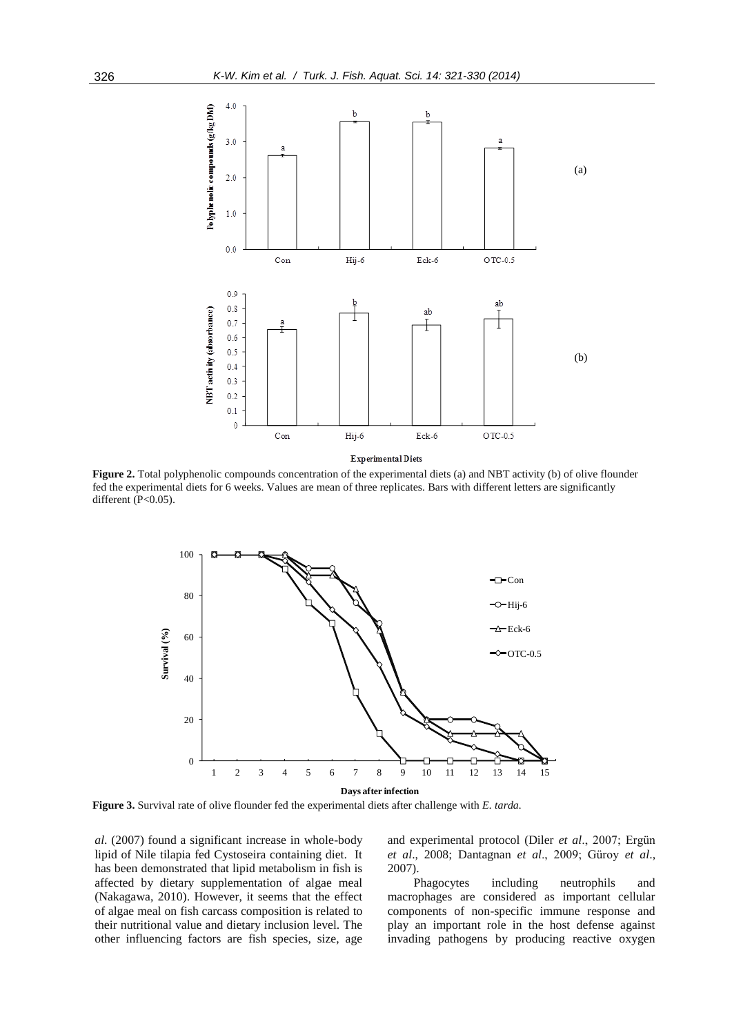

**Figure 2.** Total polyphenolic compounds concentration of the experimental diets (a) and NBT activity (b) of olive flounder fed the experimental diets for 6 weeks. Values are mean of three replicates. Bars with different letters are significantly different (P<0.05).



**Figure 3.** Survival rate of olive flounder fed the experimental diets after challenge with *E. tarda.*

*al*. (2007) found a significant increase in whole-body lipid of Nile tilapia fed Cystoseira containing diet. It has been demonstrated that lipid metabolism in fish is affected by dietary supplementation of algae meal (Nakagawa, 2010). However, it seems that the effect of algae meal on fish carcass composition is related to their nutritional value and dietary inclusion level. The other influencing factors are fish species, size, age

and experimental protocol (Diler *et al*., 2007; Ergün *et al*., 2008; Dantagnan *et al*., 2009; Güroy *et al*., 2007).

Phagocytes including neutrophils and macrophages are considered as important cellular components of non-specific immune response and play an important role in the host defense against invading pathogens by producing reactive oxygen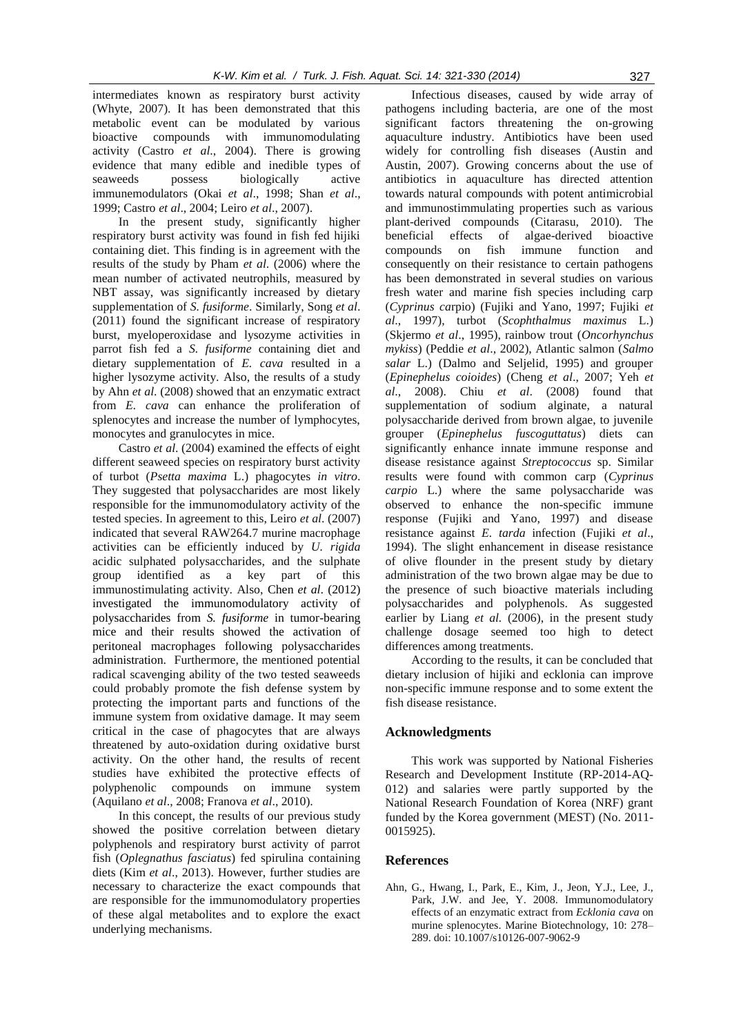intermediates known as respiratory burst activity (Whyte, 2007). It has been demonstrated that this metabolic event can be modulated by various bioactive compounds with immunomodulating activity (Castro *et al*., 2004). There is growing evidence that many edible and inedible types of seaweeds possess biologically active immunemodulators (Okai *et al*., 1998; Shan *et al*., 1999; Castro *et al*., 2004; Leiro *et al*., 2007).

In the present study, significantly higher respiratory burst activity was found in fish fed hijiki containing diet. This finding is in agreement with the results of the study by Pham *et al*. (2006) where the mean number of activated neutrophils, measured by NBT assay, was significantly increased by dietary supplementation of *S. fusiforme*. Similarly, Song *et al*. (2011) found the significant increase of respiratory burst, myeloperoxidase and lysozyme activities in parrot fish fed a *S. fusiforme* containing diet and dietary supplementation of *E. cava* resulted in a higher lysozyme activity. Also, the results of a study by Ahn *et al*. (2008) showed that an enzymatic extract from *E. cava* can enhance the proliferation of splenocytes and increase the number of lymphocytes, monocytes and granulocytes in mice.

Castro *et al*. (2004) examined the effects of eight different seaweed species on respiratory burst activity of turbot (*Psetta maxima* L.) phagocytes *in vitro*. They suggested that polysaccharides are most likely responsible for the immunomodulatory activity of the tested species. In agreement to this, Leiro *et al*. (2007) indicated that several RAW264.7 murine macrophage activities can be efficiently induced by *U. rigida* acidic sulphated polysaccharides, and the sulphate group identified as a key part of this immunostimulating activity. Also, Chen *et al*. (2012) investigated the immunomodulatory activity of polysaccharides from *S. fusiforme* in tumor-bearing mice and their results showed the activation of peritoneal macrophages following polysaccharides administration. Furthermore, the mentioned potential radical scavenging ability of the two tested seaweeds could probably promote the fish defense system by protecting the important parts and functions of the immune system from oxidative damage. It may seem critical in the case of phagocytes that are always threatened by auto-oxidation during oxidative burst activity. On the other hand, the results of recent studies have exhibited the protective effects of polyphenolic compounds on immune system (Aquilano *et al*., 2008; Franova *et al*., 2010).

In this concept, the results of our previous study showed the positive correlation between dietary polyphenols and respiratory burst activity of parrot fish (*Oplegnathus fasciatus*) fed spirulina containing diets (Kim *et al*., 2013). However, further studies are necessary to characterize the exact compounds that are responsible for the immunomodulatory properties of these algal metabolites and to explore the exact underlying mechanisms.

Infectious diseases, caused by wide array of pathogens including bacteria, are one of the most significant factors threatening the on-growing aquaculture industry. Antibiotics have been used widely for controlling fish diseases (Austin and Austin, 2007). Growing concerns about the use of antibiotics in aquaculture has directed attention towards natural compounds with potent antimicrobial and immunostimmulating properties such as various plant-derived compounds (Citarasu, 2010). The beneficial effects of algae-derived bioactive compounds on fish immune function and consequently on their resistance to certain pathogens has been demonstrated in several studies on various fresh water and marine fish species including carp (*Cyprinus ca*rpio) (Fujiki and Yano, 1997; Fujiki *et al*., 1997), turbot (*Scophthalmus maximus* L.) (Skjermo *et al*., 1995), rainbow trout (*Oncorhynchus mykiss*) (Peddie *et al*., 2002), Atlantic salmon (*Salmo salar* L.) (Dalmo and Seljelid, 1995) and grouper (*Epinephelus coioides*) (Cheng *et al*., 2007; Yeh *et al*., 2008). Chiu *et al*. (2008) found that supplementation of sodium alginate, a natural polysaccharide derived from brown algae, to juvenile grouper (*Epinephelus fuscoguttatus*) diets can significantly enhance innate immune response and disease resistance against *Streptococcus* sp. Similar results were found with common carp (*Cyprinus carpio* L.) where the same polysaccharide was observed to enhance the non-specific immune response (Fujiki and Yano, 1997) and disease resistance against *E. tarda* infection (Fujiki *et al*., 1994). The slight enhancement in disease resistance of olive flounder in the present study by dietary administration of the two brown algae may be due to the presence of such bioactive materials including polysaccharides and polyphenols. As suggested earlier by Liang *et al.* (2006), in the present study challenge dosage seemed too high to detect differences among treatments.

According to the results, it can be concluded that dietary inclusion of hijiki and ecklonia can improve non-specific immune response and to some extent the fish disease resistance.

# **Acknowledgments**

This work was supported by National Fisheries Research and Development Institute (RP-2014-AQ-012) and salaries were partly supported by the National Research Foundation of Korea (NRF) grant funded by the Korea government (MEST) (No. 2011- 0015925).

# **References**

Ahn, G., Hwang, I., Park, E., Kim, J., Jeon, Y.J., Lee, J., Park, J.W. and Jee, Y. 2008. Immunomodulatory effects of an enzymatic extract from *Ecklonia cava* on murine splenocytes. Marine Biotechnology, 10: 278– 289. doi: 10.1007/s10126-007-9062-9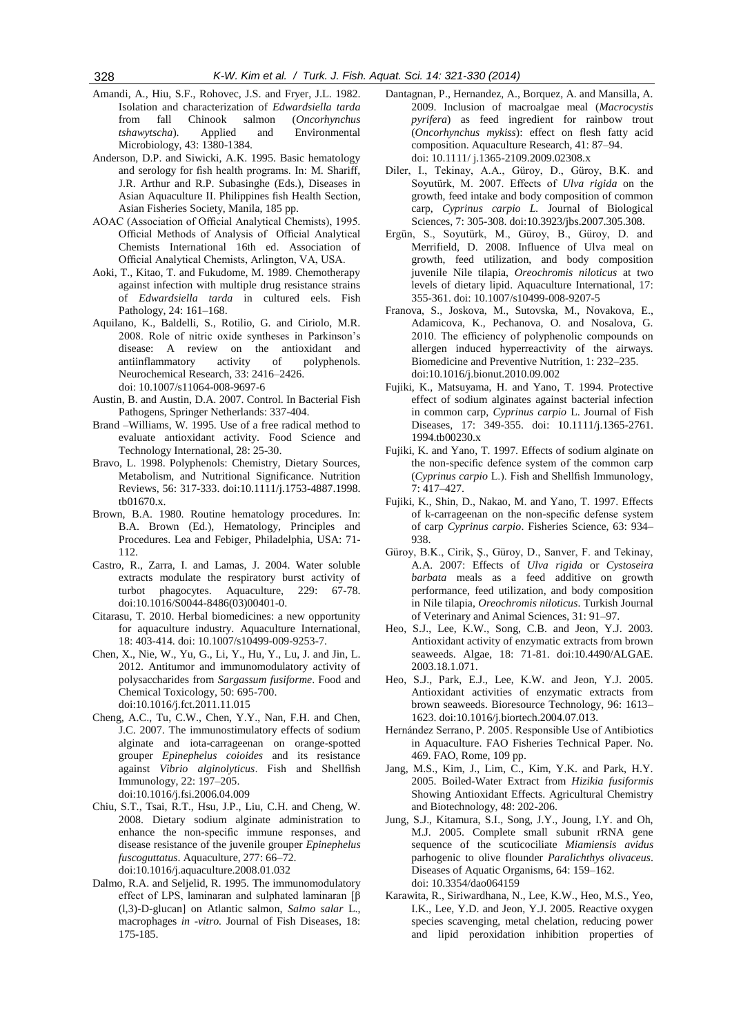- Amandi, A., Hiu, S.F., Rohovec, J.S. and Fryer, J.L. 1982. Isolation and characterization of *Edwardsiella tarda* from fall Chinook salmon (*Oncorhynchus tshawytscha*). Applied and Environmental Microbiology, 43: 1380-1384.
- Anderson, D.P. and Siwicki, A.K. 1995. Basic hematology and serology for fish health programs. In: M. Shariff, J.R. Arthur and R.P. Subasinghe (Eds.), Diseases in Asian Aquaculture II. Philippines fish Health Section, Asian Fisheries Society, Manila, 185 pp.
- AOAC (Association of Official Analytical Chemists), 1995. Official Methods of Analysis of Official Analytical Chemists International 16th ed. Association of Official Analytical Chemists, Arlington, VA, USA.
- Aoki, T., Kitao, T. and Fukudome, M. 1989. Chemotherapy against infection with multiple drug resistance strains of *Edwardsiella tarda* in cultured eels. Fish Pathology, 24: 161–168.
- Aquilano, K., Baldelli, S., Rotilio, G. and Ciriolo, M.R. 2008. Role of nitric oxide syntheses in Parkinson's disease: A review on the antioxidant and antiinflammatory activity of polyphenols. Neurochemical Research, 33: 2416–2426. doi: 10.1007/s11064-008-9697-6
- Austin, B. and Austin, D.A. 2007. Control. In Bacterial Fish Pathogens, Springer Netherlands: 337-404.
- Brand –Williams, W. 1995. Use of a free radical method to evaluate antioxidant activity. Food Science and Technology International, 28: 25-30.
- Bravo, L. 1998. Polyphenols: Chemistry, Dietary Sources, Metabolism, and Nutritional Significance. Nutrition Reviews, 56: 317-333. doi:10.1111/j.1753-4887.1998. tb01670.x.
- Brown, B.A. 1980. Routine hematology procedures. In: B.A. Brown (Ed.), Hematology, Principles and Procedures. Lea and Febiger, Philadelphia, USA: 71- 112.
- Castro, R., Zarra, I. and Lamas, J. 2004. Water soluble extracts modulate the respiratory burst activity of turbot phagocytes. Aquaculture, 229: 67-78. doi:10.1016/S0044-8486(03)00401-0.
- Citarasu, T. 2010. Herbal biomedicines: a new opportunity for aquaculture industry. Aquaculture International, 18: 403-414. doi: 10.1007/s10499-009-9253-7.
- Chen, X., Nie, W., Yu, G., Li, Y., Hu, Y., Lu, J. and Jin, L. 2012. Antitumor and immunomodulatory activity of polysaccharides from *Sargassum fusiforme*. Food and Chemical Toxicology, 50: 695-700. doi:10.1016/j.fct.2011.11.015
- Cheng, A.C., Tu, C.W., Chen, Y.Y., Nan, F.H. and Chen, J.C. 2007. The immunostimulatory effects of sodium alginate and iota-carrageenan on orange-spotted grouper *Epinephelus coioides* and its resistance against *Vibrio alginolyticus*. Fish and Shellfish Immunology, 22: 197–205. doi:10.1016/j.fsi.2006.04.009
- Chiu, S.T., Tsai, R.T., Hsu, J.P., Liu, C.H. and Cheng, W. 2008. Dietary sodium alginate administration to enhance the non-specific immune responses, and disease resistance of the juvenile grouper *Epinephelus fuscoguttatus*. Aquaculture, 277: 66–72. doi:10.1016/j.aquaculture.2008.01.032
- Dalmo, R.A. and Seljelid, R. 1995. The immunomodulatory effect of LPS, laminaran and sulphated laminaran [β (l,3)-D-glucan] on Atlantic salmon, *Salmo salar* L., macrophages *in -vitro.* Journal of Fish Diseases, 18: 175-185.
- Dantagnan, P., Hernandez, A., Borquez, A. and Mansilla, A. 2009. Inclusion of macroalgae meal (*Macrocystis pyrifera*) as feed ingredient for rainbow trout (*Oncorhynchus mykiss*): effect on flesh fatty acid composition. Aquaculture Research, 41: 87–94. doi: 10.1111/ j.1365-2109.2009.02308.x
- Diler, I., Tekinay, A.A., Güroy, D., Güroy, B.K. and Soyutürk, M. 2007. Effects of *Ulva rigida* on the growth, feed intake and body composition of common carp, *Cyprinus carpio L.* Journal of Biological Sciences, 7: 305-308. doi:10.3923/jbs.2007.305.308.
- Ergün, S., Soyutürk, M., Güroy, B., Güroy, D. and Merrifield, D. 2008. Influence of Ulva meal on growth, feed utilization, and body composition juvenile Nile tilapia, *Oreochromis niloticus* at two levels of dietary lipid. Aquaculture International, 17: 355-361. doi: 10.1007/s10499-008-9207-5
- Franova, S., Joskova, M., Sutovska, M., Novakova, E., Adamicova, K., Pechanova, O. and Nosalova, G. 2010. The efficiency of polyphenolic compounds on allergen induced hyperreactivity of the airways. Biomedicine and Preventive Nutrition, 1: 232–235. doi:10.1016/j.bionut.2010.09.002
- Fujiki, K., Matsuyama, H. and Yano, T. 1994. Protective effect of sodium alginates against bacterial infection in common carp, *Cyprinus carpio* L. Journal of Fish Diseases, 17: 349-355. doi: 10.1111/j.1365-2761. 1994.tb00230.x
- Fujiki, K. and Yano, T. 1997. Effects of sodium alginate on the non-specific defence system of the common carp (*Cyprinus carpio* L.). Fish and Shellfish Immunology, 7: 417–427.
- Fujiki, K., Shin, D., Nakao, M. and Yano, T. 1997. Effects of k-carrageenan on the non-specific defense system of carp *Cyprinus carpio*. Fisheries Science, 63: 934– 938.
- Güroy, B.K., Cirik, Ş., Güroy, D., Sanver, F. and Tekinay, A.A. 2007: Effects of *Ulva rigida* or *Cystoseira barbata* meals as a feed additive on growth performance, feed utilization, and body composition in Nile tilapia, *Oreochromis niloticus*. Turkish Journal of Veterinary and Animal Sciences, 31: 91–97.
- Heo, S.J., Lee, K.W., Song, C.B. and Jeon, Y.J. 2003. Antioxidant activity of enzymatic extracts from brown seaweeds. Algae, 18: 71-81. doi:10.4490/ALGAE. 2003.18.1.071.
- Heo, S.J., Park, E.J., Lee, K.W. and Jeon, Y.J. 2005. Antioxidant activities of enzymatic extracts from brown seaweeds. Bioresource Technology, 96: 1613– 1623. doi:10.1016/j.biortech.2004.07.013.
- Hernández Serrano, P. 2005. Responsible Use of Antibiotics in Aquaculture. FAO Fisheries Technical Paper. No. 469. FAO, Rome, 109 pp.
- Jang, M.S., Kim, J., Lim, C., Kim, Y.K. and Park, H.Y. 2005. Boiled-Water Extract from *Hizikia fusiformis* Showing Antioxidant Effects. Agricultural Chemistry and Biotechnology, 48: 202-206.
- Jung, S.J., Kitamura, S.I., Song, J.Y., Joung, I.Y. and Oh, M.J. 2005. Complete small subunit rRNA gene sequence of the scuticociliate *Miamiensis avidus* parhogenic to olive flounder *Paralichthys olivaceus*. Diseases of Aquatic Organisms, 64: 159–162. doi: 10.3354/dao064159
- Karawita, R., Siriwardhana, N., Lee, K.W., Heo, M.S., Yeo, I.K., Lee, Y.D. and Jeon, Y.J. 2005. Reactive oxygen species scavenging, metal chelation, reducing power and lipid peroxidation inhibition properties of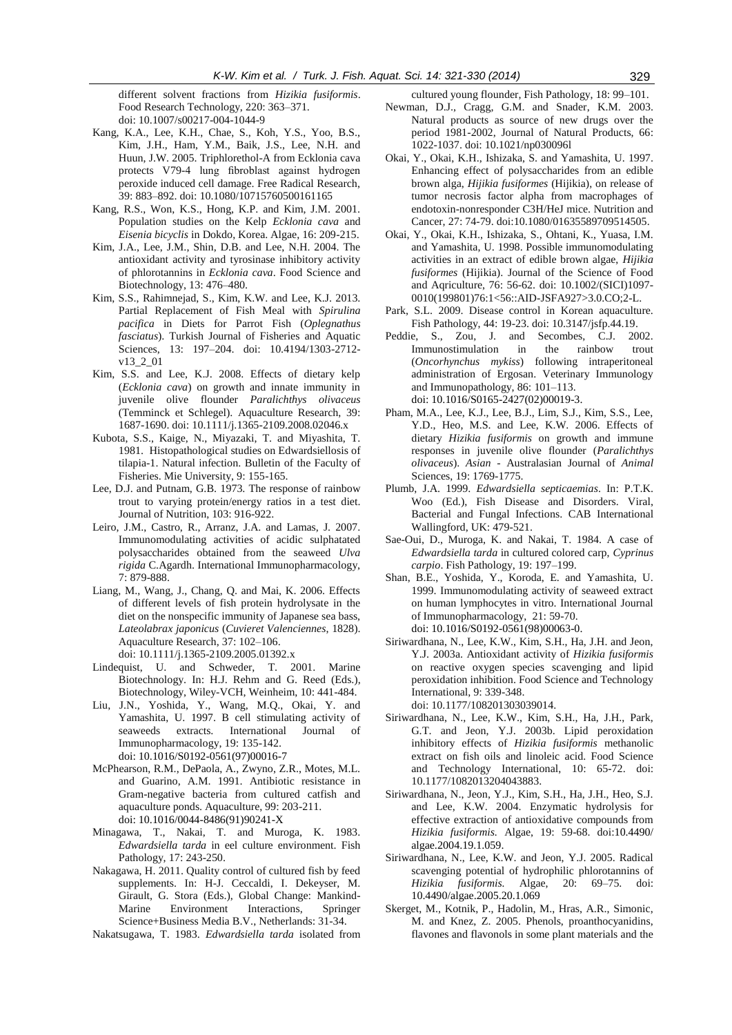different solvent fractions from *Hizikia fusiformis*. Food Research Technology, 220: 363–371. doi: 10.1007/s00217-004-1044-9

- Kang, K.A., Lee, K.H., Chae, S., Koh, Y.S., Yoo, B.S., Kim, J.H., Ham, Y.M., Baik, J.S., Lee, N.H. and Huun, J.W. 2005. Triphlorethol-A from Ecklonia cava protects V79-4 lung fibroblast against hydrogen peroxide induced cell damage. Free Radical Research, 39: 883–892. doi: 10.1080/10715760500161165
- Kang, R.S., Won, K.S., Hong, K.P. and Kim, J.M. 2001. Population studies on the Kelp *Ecklonia cava* and *Eisenia bicyclis* in Dokdo, Korea. Algae, 16: 209-215.
- Kim, J.A., Lee, J.M., Shin, D.B. and Lee, N.H. 2004. The antioxidant activity and tyrosinase inhibitory activity of phlorotannins in *Ecklonia cava*. Food Science and Biotechnology, 13: 476–480.
- Kim, S.S., Rahimnejad, S., Kim, K.W. and Lee, K.J. 2013. Partial Replacement of Fish Meal with *Spirulina pacifica* in Diets for Parrot Fish (*Oplegnathus fasciatus*). Turkish Journal of Fisheries and Aquatic Sciences, 13: 197–204. doi: 10.4194/1303-2712 v13\_2\_01
- Kim, S.S. and Lee, K.J. 2008. Effects of dietary kelp (*Ecklonia cava*) on growth and innate immunity in juvenile olive flounder *Paralichthys olivaceus*  (Temminck et Schlegel). Aquaculture Research, 39: 1687-1690. doi: 10.1111/j.1365-2109.2008.02046.x
- Kubota, S.S., Kaige, N., Miyazaki, T. and Miyashita, T. 1981. Histopathological studies on Edwardsiellosis of tilapia-1. Natural infection. Bulletin of the Faculty of Fisheries. Mie University, 9: 155-165.
- Lee, D.J. and Putnam, G.B. 1973. The response of rainbow trout to varying protein/energy ratios in a test diet. Journal of Nutrition, 103: 916-922.
- Leiro, J.M., Castro, R., Arranz, J.A. and Lamas, J. 2007. Immunomodulating activities of acidic sulphatated polysaccharides obtained from the seaweed *Ulva rigida* C.Agardh. International Immunopharmacology, 7: 879-888.
- Liang, M., Wang, J., Chang, Q. and Mai, K. 2006. Effects of different levels of fish protein hydrolysate in the diet on the nonspecific immunity of Japanese sea bass, *Lateolabrax japonicus* (*Cuvieret Valenciennes*, 1828). Aquaculture Research, 37: 102–106. doi: 10.1111/j.1365-2109.2005.01392.x
- Lindequist, U. and Schweder, T. 2001. Marine Biotechnology. In: H.J. Rehm and G. Reed (Eds.), Biotechnology, Wiley-VCH, Weinheim, 10: 441-484.
- Liu, J.N., Yoshida, Y., Wang, M.Q., Okai, Y. and Yamashita, U. 1997. B cell stimulating activity of seaweeds extracts. International Journal Immunopharmacology, 19: 135-142. doi: 10.1016/S0192-0561(97)00016-7
- McPhearson, R.M., DePaola, A., Zwyno, Z.R., Motes, M.L. and Guarino, A.M. 1991. Antibiotic resistance in Gram-negative bacteria from cultured catfish and aquaculture ponds. Aquaculture, 99: 203-211. doi: 10.1016/0044-8486(91)90241-X
- Minagawa, T., Nakai, T. and Muroga, K. 1983. *Edwardsiella tarda* in eel culture environment. Fish Pathology, 17: 243-250.
- [Nakagawa,](https://www.researchgate.net/researcher/78842111_Heisuke_Nakagawa/) H. 2011. Quality control of cultured fish by feed supplements. In: H-J. Ceccaldi, I. Dekeyser, M. Girault, G. Stora (Eds.), [Global Change: Mankind-](http://link.springer.com/book/10.1007/978-90-481-8630-3)[Marine Environment Interactions,](http://link.springer.com/book/10.1007/978-90-481-8630-3) Springer Science+Business Media B.V., Netherlands: 31-34.
- Nakatsugawa, T. 1983. *Edwardsiella tarda* isolated from

cultured young flounder, Fish Pathology, 18: 99–101.

- Newman, D.J., Cragg, G.M. and Snader, K.M. 2003. Natural products as source of new drugs over the period 1981-2002, Journal of Natural Products, 66: 1022-1037. doi: 10.1021/np030096l
- Okai, Y., Okai, K.H., Ishizaka, S. and Yamashita, U. 1997. Enhancing effect of polysaccharides from an edible brown alga, *Hijikia fusiformes* (Hijikia), on release of tumor necrosis factor alpha from macrophages of endotoxin-nonresponder C3H/HeJ mice. Nutrition and Cancer, 27: 74-79. doi:10.1080/01635589709514505.
- Okai, Y., Okai, K.H., Ishizaka, S., Ohtani, K., Yuasa, I.M. and Yamashita, U. 1998. Possible immunomodulating activities in an extract of edible brown algae, *Hijikia fusiformes* (Hijikia). Journal of the Science of Food and Aqriculture, 76: 56-62. doi: 10.1002/(SICI)1097- 0010(199801)76:1<56::AID-JSFA927>3.0.CO;2-L.
- Park, S.L. 2009. Disease control in Korean aquaculture. Fish Pathology, 44: 19-23. doi: 10.3147/jsfp.44.19.
- Peddie, S., Zou, J. and Secombes, C.J. 2002. Immunostimulation in the rainbow trout (*Oncorhynchus mykiss*) following intraperitoneal administration of Ergosan. Veterinary Immunology and Immunopathology, 86: 101–113. doi: 10.1016/S0165-2427(02)00019-3.
- Pham, M.A., Lee, K.J., Lee, B.J., Lim, S.J., Kim, S.S., Lee, Y.D., Heo, M.S. and Lee, K.W. 2006. Effects of dietary *Hizikia fusiformis* on growth and immune responses in juvenile olive flounder (*Paralichthys olivaceus*). *Asian* - Australasian Journal of *Animal* Sciences, 19: 1769-1775.
- Plumb, J.A. 1999. *Edwardsiella septicaemias*. In: P.T.K. Woo (Ed.), Fish Disease and Disorders. Viral, Bacterial and Fungal Infections. CAB International Wallingford, UK: 479-521.
- Sae-Oui, D., Muroga, K. and Nakai, T. 1984. A case of *Edwardsiella tarda* in cultured colored carp, *Cyprinus carpio*. Fish Pathology, 19: 197–199.
- Shan, B.E., Yoshida, Y., Koroda, E. and Yamashita, U. 1999. Immunomodulating activity of seaweed extract on human lymphocytes in vitro. International Journal of Immunopharmacology, 21: 59-70. doi: 10.1016/S0192-0561(98)00063-0.
- Siriwardhana, N., Lee, K.W., Kim, S.H., Ha, J.H. and Jeon, Y.J. 2003a. Antioxidant activity of *Hizikia fusiformis* on reactive oxygen species scavenging and lipid peroxidation inhibition. Food Science and Technology International, 9: 339-348. doi: 10.1177/108201303039014.
- Siriwardhana, N., Lee, K.W., Kim, S.H., Ha, J.H., Park, G.T. and Jeon, Y.J. 2003b. Lipid peroxidation inhibitory effects of *Hizikia fusiformis* methanolic extract on fish oils and linoleic acid. Food Science and Technology International, 10: 65-72. doi: 10.1177/1082013204043883.
- Siriwardhana, N., Jeon, Y.J., Kim, S.H., Ha, J.H., Heo, S.J. and Lee, K.W. 2004. Enzymatic hydrolysis for effective extraction of antioxidative compounds from *Hizikia fusiformis.* Algae, 19: 59-68. doi:10.4490/ algae.2004.19.1.059.
- Siriwardhana, N., Lee, K.W. and Jeon, Y.J. 2005. Radical scavenging potential of hydrophilic phlorotannins of *Hizikia fusiformis.* Algae, 20: 69–75. doi: 10.4490/algae.2005.20.1.069
- Skerget, M., Kotnik, P., Hadolin, M., Hras, A.R., Simonic, M. and Knez, Z. 2005. Phenols, proanthocyanidins, flavones and flavonols in some plant materials and the